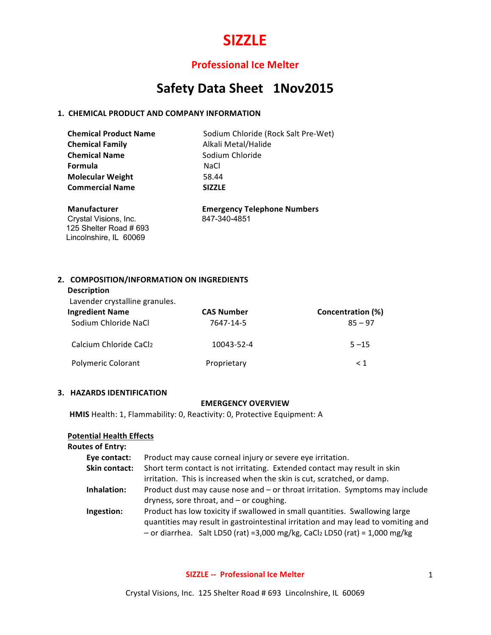# **Professional Ice Melter**

# Safety Data Sheet 1Nov2015

## **1. CHEMICAL PRODUCT AND COMPANY INFORMATION**

| <b>Chemical Product Name</b> | Sodium Chloride (Rock Salt Pre-Wet) |
|------------------------------|-------------------------------------|
| <b>Chemical Family</b>       | Alkali Metal/Halide                 |
| <b>Chemical Name</b>         | Sodium Chloride                     |
| Formula                      | NaCl                                |
| <b>Molecular Weight</b>      | 58.44                               |
| <b>Commercial Name</b>       | <b>SIZZLE</b>                       |
|                              |                                     |

Crystal Visions, Inc. 847-340-4851 125 Shelter Road # 693 Lincolnshire, IL 60069

 **Manufacturer Emergency Telephone Numbers**

# **2. COMPOSITION/INFORMATION ON INGREDIENTS**

Lavender crystalline granules.

| <b>Ingredient Name</b>    | <b>CAS Number</b> | Concentration (%) |
|---------------------------|-------------------|-------------------|
| Sodium Chloride NaCl      | 7647-14-5         | $85 - 97$         |
| Calcium Chloride CaCl2    | 10043-52-4        | $5 - 15$          |
| <b>Polymeric Colorant</b> | Proprietary       | $\leq 1$          |

## **3. HAZARDS IDENTIFICATION**

#### **EMERGENCY OVERVIEW**

**HMIS** Health: 1, Flammability: 0, Reactivity: 0, Protective Equipment: A

### **Potential Health Effects**

| <b>Routes of Entry:</b> |                                                                                   |
|-------------------------|-----------------------------------------------------------------------------------|
| Eye contact:            | Product may cause corneal injury or severe eye irritation.                        |
| Skin contact:           | Short term contact is not irritating. Extended contact may result in skin         |
|                         | irritation. This is increased when the skin is cut, scratched, or damp.           |
| Inhalation:             | Product dust may cause nose and – or throat irritation. Symptoms may include      |
|                         | dryness, sore throat, and - or coughing.                                          |
| Ingestion:              | Product has low toxicity if swallowed in small quantities. Swallowing large       |
|                         | quantities may result in gastrointestinal irritation and may lead to vomiting and |
|                         | - or diarrhea. Salt LD50 (rat) = 3,000 mg/kg, CaCl2 LD50 (rat) = $1,000$ mg/kg    |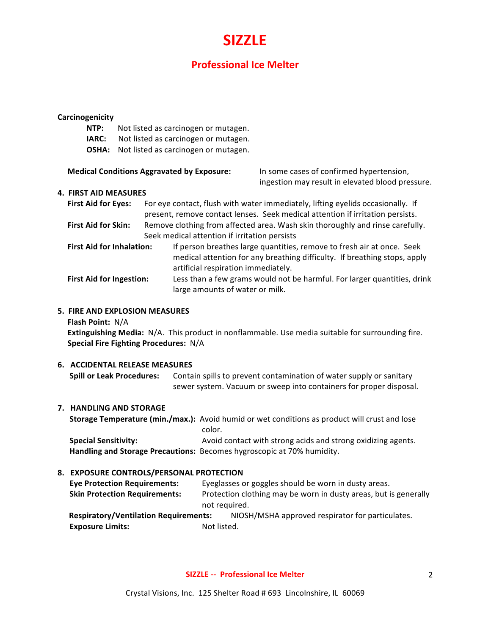# **Professional Ice Melter**

#### **Carcinogenicity**

- **NTP:** Not listed as carcinogen or mutagen.
- **IARC:** Not listed as carcinogen or mutagen.
- **OSHA:** Not listed as carcinogen or mutagen.

#### **Medical Conditions Aggravated by Exposure:** In some cases of confirmed hypertension,

ingestion may result in elevated blood pressure.

#### **4. FIRST AID MEASURES**

| <b>First Aid for Eyes:</b>       | For eye contact, flush with water immediately, lifting eyelids occasionally. If<br>present, remove contact lenses. Seek medical attention if irritation persists.                          |
|----------------------------------|--------------------------------------------------------------------------------------------------------------------------------------------------------------------------------------------|
| <b>First Aid for Skin:</b>       | Remove clothing from affected area. Wash skin thoroughly and rinse carefully.                                                                                                              |
|                                  | Seek medical attention if irritation persists                                                                                                                                              |
| <b>First Aid for Inhalation:</b> | If person breathes large quantities, remove to fresh air at once. Seek<br>medical attention for any breathing difficulty. If breathing stops, apply<br>artificial respiration immediately. |
| <b>First Aid for Ingestion:</b>  | Less than a few grams would not be harmful. For larger quantities, drink<br>large amounts of water or milk.                                                                                |

## **5. FIRE AND EXPLOSION MEASURES**

**Flash Point:** N/A

**Extinguishing Media:** N/A. This product in nonflammable. Use media suitable for surrounding fire. **Special Fire Fighting Procedures: N/A** 

# **6. ACCIDENTAL RELEASE MEASURES**

**Spill or Leak Procedures:** Contain spills to prevent contamination of water supply or sanitary sewer system. Vacuum or sweep into containers for proper disposal.

#### **7. HANDLING AND STORAGE**

**Storage Temperature (min./max.):** Avoid humid or wet conditions as product will crust and lose color. **Special Sensitivity: Avoid contact with strong acids and strong oxidizing agents.** 

Handling and Storage Precautions: Becomes hygroscopic at 70% humidity.

## **8. EXPOSURE CONTROLS/PERSONAL PROTECTION**

| <b>Eye Protection Requirements:</b>          |             | Eyeglasses or goggles should be worn in dusty areas.             |
|----------------------------------------------|-------------|------------------------------------------------------------------|
| <b>Skin Protection Requirements:</b>         |             | Protection clothing may be worn in dusty areas, but is generally |
|                                              |             | not required.                                                    |
| <b>Respiratory/Ventilation Requirements:</b> |             | NIOSH/MSHA approved respirator for particulates.                 |
| <b>Exposure Limits:</b>                      | Not listed. |                                                                  |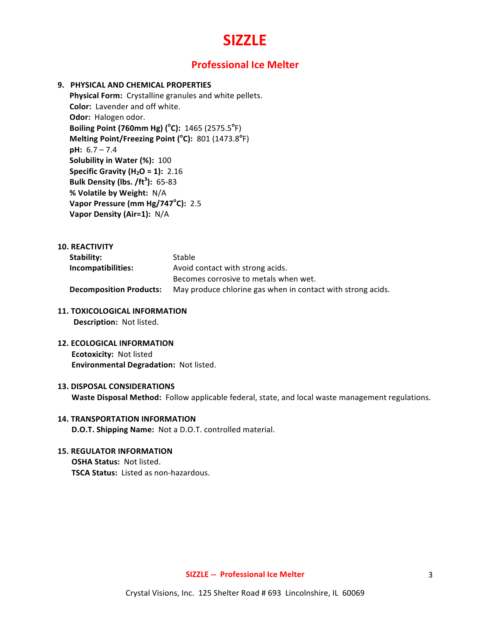# **Professional Ice Melter**

## **9. PHYSICAL AND CHEMICAL PROPERTIES**

Physical Form: Crystalline granules and white pellets. **Color:** Lavender and off white. **Odor:** Halogen odor. **Boiling Point (760mm Hg) (°C):** 1465 (2575.5°F) **Melting Point/Freezing Point (°C):** 801 (1473.8°F) **pH:** 6.7 – 7.4 **Solubility in Water (%): 100 Specific Gravity (H<sub>2</sub>O = 1):** 2.16 **Bulk Density (lbs. /ft<sup>3</sup> ):** 65-83 **% Volatile by Weight:** N/A **Vapor Pressure (mm Hg/747°C): 2.5 Vapor Density (Air=1):** N/A

## **10. REACTIVITY**

| Stability:                     | Stable                                                      |
|--------------------------------|-------------------------------------------------------------|
| Incompatibilities:             | Avoid contact with strong acids.                            |
|                                | Becomes corrosive to metals when wet.                       |
| <b>Decomposition Products:</b> | May produce chlorine gas when in contact with strong acids. |

## **11. TOXICOLOGICAL INFORMATION**

**Description:** Not listed.

**12. ECOLOGICAL INFORMATION Ecotoxicity: Not listed Environmental Degradation: Not listed.** 

#### **13. DISPOSAL CONSIDERATIONS**

**Waste Disposal Method:** Follow applicable federal, state, and local waste management regulations.

# **14. TRANSPORTATION INFORMATION D.O.T. Shipping Name:** Not a D.O.T. controlled material.

# **15. REGULATOR INFORMATION**

**OSHA Status: Not listed. TSCA Status:** Listed as non-hazardous.